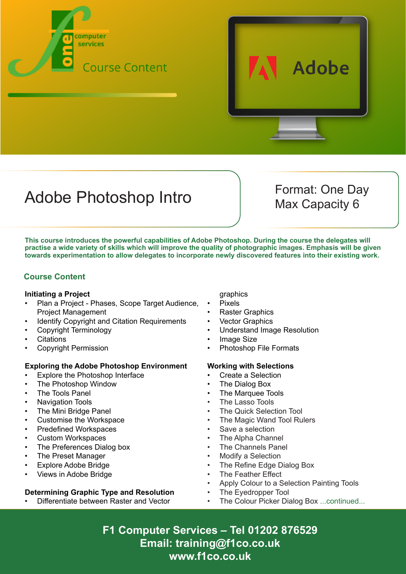



# Adobe Photoshop Intro Format: One Day

Max Capacity 6

**This course introduces the powerful capabilities of Adobe Photoshop. During the course the delegates will practise a wide variety of skills which will improve the quality of photographic images. Emphasis will be given towards experimentation to allow delegates to incorporate newly discovered features into their existing work.**

## **Course Content**

#### **Initiating a Project**

- Plan a Project Phases, Scope Target Audience, Project Management
- Identify Copyright and Citation Requirements
- Copyright Terminology
- **Citations**
- Copyright Permission

#### **Exploring the Adobe Photoshop Environment**

- Explore the Photoshop Interface
- The Photoshop Window
- The Tools Panel
- Navigation Tools
- The Mini Bridge Panel
- Customise the Workspace
- Predefined Workspaces
- Custom Workspaces
- The Preferences Dialog box
- The Preset Manager
- Explore Adobe Bridge
- Views in Adobe Bridge

### **Determining Graphic Type and Resolution**

• Differentiate between Raster and Vector

graphics

- Pixels
- **Raster Graphics**
- **Vector Graphics**
- Understand Image Resolution
- **Image Size**
- Photoshop File Formats

### **Working with Selections**

- Create a Selection
- The Dialog Box
- The Marquee Tools
- The Lasso Tools
- The Quick Selection Tool
- The Magic Wand Tool Rulers
- Save a selection
- The Alpha Channel
- The Channels Panel
- **Modify a Selection**
- The Refine Edge Dialog Box
- The Feather Effect
- Apply Colour to a Selection Painting Tools
- The Eyedropper Tool
	- The Colour Picker Dialog Box ...continued...

**F1 Computer Services – Tel 01202 876529 Email: training@f1co.co.uk www.f1co.co.uk**